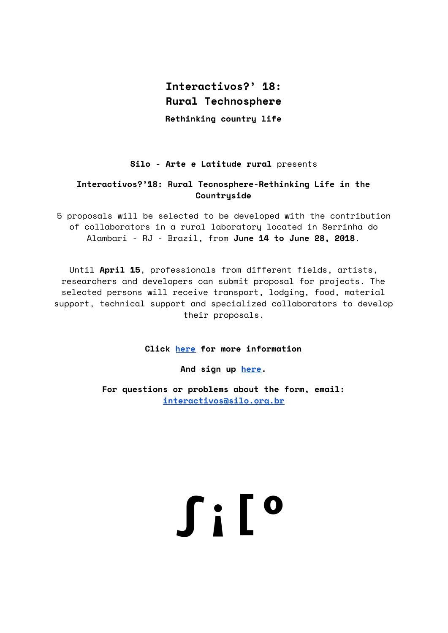# **Interactivos?' 18: Rural Technosphere**

**Rethinking country life**

# **Silo - Arte e Latitude rural** presents

## **Interactivos?'18: Rural Tecnosphere-Rethinking Life in the Countryside**

5 proposals will be selected to be developed with the contribution of collaborators in a rural laboratory located in Serrinha do Alambari - RJ - Brazil, from **June 14 to June 28, 2018**.

Until **April 15**, professionals from different fields, artists, researchers and developers can submit proposal for projects. The selected persons will receive transport, lodging, food, material support, technical support and specialized collaborators to develop their proposals.

**Click [here](http://silo.org.br/) for more information**

**And sign up [here](https://goo.gl/forms/B2lip0DfmriUkpF13).**

**For questions or problems about the form, email: [interactivos@silo.org.br](mailto:interactivos@silo.org.br)**

**Silo**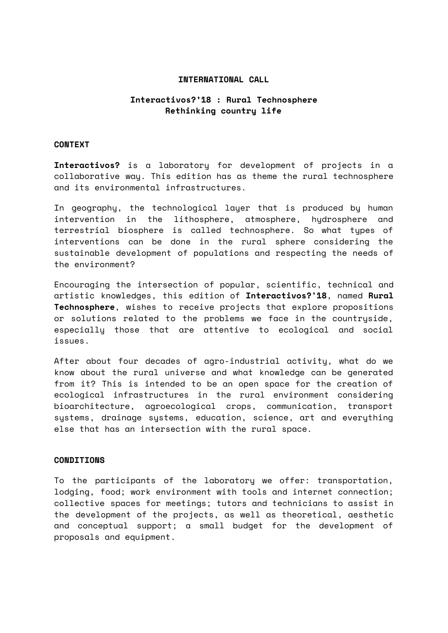### **INTERNATIONAL CALL**

## **Interactivos?'18 : Rural Technosphere Rethinking country life**

#### **CONTEXT**

**Interactivos?** is a laboratory for development of projects in a collaborative way. This edition has as theme the rural technosphere and its environmental infrastructures.

In geography, the technological layer that is produced by human intervention in the lithosphere, atmosphere, hydrosphere and terrestrial biosphere is called technosphere. So what types of interventions can be done in the rural sphere considering the sustainable development of populations and respecting the needs of the environment?

Encouraging the intersection of popular, scientific, technical and artistic knowledges, this edition of **Interactivos?'18**, named **Rural Technosphere**, wishes to receive projects that explore propositions or solutions related to the problems we face in the countryside, especially those that are attentive to ecological and social issues.

After about four decades of agro-industrial activity, what do we know about the rural universe and what knowledge can be generated from it? This is intended to be an open space for the creation of ecological infrastructures in the rural environment considering bioarchitecture, agroecological crops, communication, transport systems, drainage systems, education, science, art and everything else that has an intersection with the rural space.

#### **CONDITIONS**

To the participants of the laboratory we offer: transportation, lodging, food; work environment with tools and internet connection; collective spaces for meetings; tutors and technicians to assist in the development of the projects, as well as theoretical, aesthetic and conceptual support; a small budget for the development of proposals and equipment.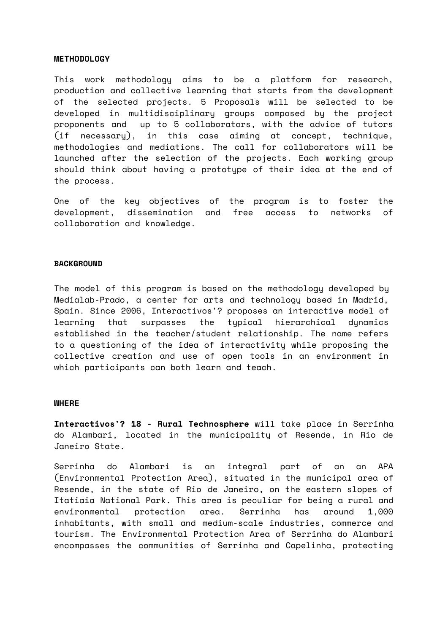#### **METHODOLOGY**

This work methodology aims to be a platform for research, production and collective learning that starts from the development of the selected projects. 5 Proposals will be selected to be developed in multidisciplinary groups composed by the project proponents and up to 5 collaborators, with the advice of tutors (if necessary), in this case aiming at concept, technique, methodologies and mediations. The call for collaborators will be launched after the selection of the projects. Each working group should think about having a prototype of their idea at the end of the process.

One of the key objectives of the program is to foster the development, dissemination and free access to networks of collaboration and knowledge.

#### **BACKGROUND**

The model of this program is based on the methodology developed by Medialab-Prado, a center for arts and technology based in Madrid, Spain. Since 2006, Interactivos'? proposes an interactive model of learning that surpasses the typical hierarchical dynamics established in the teacher/student relationship. The name refers to a questioning of the idea of interactivity while proposing the collective creation and use of open tools in an environment in which participants can both learn and teach.

#### **WHERE**

**Interactivos'? 18 - Rural Technosphere** will take place in Serrinha do Alambari, located in the municipality of Resende, in Rio de Janeiro State.

Serrinha do Alambari is an integral part of an an APA (Environmental Protection Area), situated in the municipal area of Resende, in the state of Rio de Janeiro, on the eastern slopes of Itatiaia National Park. This area is peculiar for being a rural and environmental protection area. Serrinha has around 1,000 inhabitants, with small and medium-scale industries, commerce and tourism. The Environmental Protection Area of Serrinha do Alambari encompasses the communities of Serrinha and Capelinha, protecting